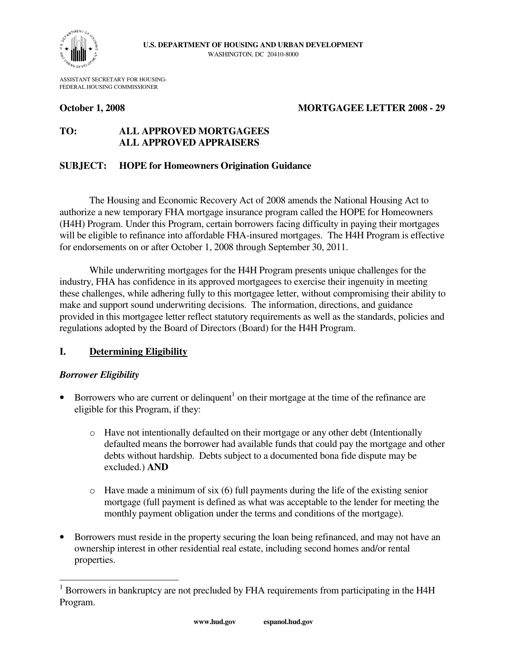

ASSISTANT SECRETARY FOR HOUSING-FEDERAL HOUSING COMMISSIONER

## **October 1, 2008 MORTGAGEE LETTER 2008 - 29**

# **TO: ALL APPROVED MORTGAGEES ALL APPROVED APPRAISERS**

## **SUBJECT: HOPE for Homeowners Origination Guidance**

The Housing and Economic Recovery Act of 2008 amends the National Housing Act to authorize a new temporary FHA mortgage insurance program called the HOPE for Homeowners (H4H) Program. Under this Program, certain borrowers facing difficulty in paying their mortgages will be eligible to refinance into affordable FHA-insured mortgages. The H4H Program is effective for endorsements on or after October 1, 2008 through September 30, 2011.

While underwriting mortgages for the H4H Program presents unique challenges for the industry, FHA has confidence in its approved mortgagees to exercise their ingenuity in meeting these challenges, while adhering fully to this mortgagee letter, without compromising their ability to make and support sound underwriting decisions. The information, directions, and guidance provided in this mortgagee letter reflect statutory requirements as well as the standards, policies and regulations adopted by the Board of Directors (Board) for the H4H Program.

# **I. Determining Eligibility**

## *Borrower Eligibility*

 $\overline{a}$ 

- Borrowers who are current or delinquent<sup>1</sup> on their mortgage at the time of the refinance are eligible for this Program, if they:
	- o Have not intentionally defaulted on their mortgage or any other debt (Intentionally defaulted means the borrower had available funds that could pay the mortgage and other debts without hardship. Debts subject to a documented bona fide dispute may be excluded.) **AND**
	- $\circ$  Have made a minimum of six (6) full payments during the life of the existing senior mortgage (full payment is defined as what was acceptable to the lender for meeting the monthly payment obligation under the terms and conditions of the mortgage).
- Borrowers must reside in the property securing the loan being refinanced, and may not have an ownership interest in other residential real estate, including second homes and/or rental properties.

<sup>&</sup>lt;sup>1</sup> Borrowers in bankruptcy are not precluded by FHA requirements from participating in the H4H Program.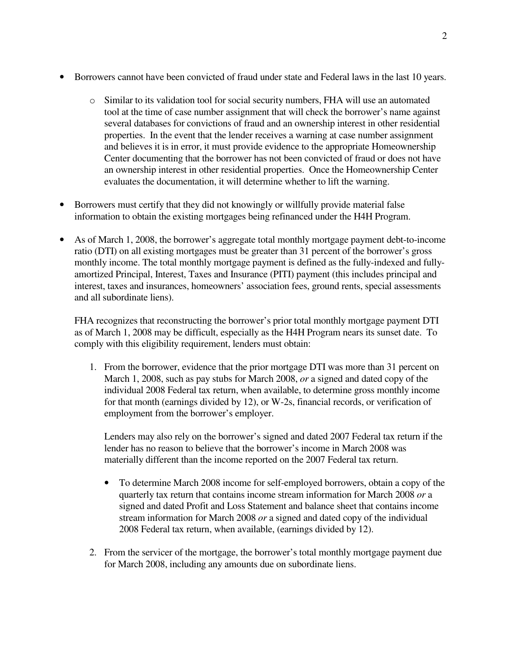- Borrowers cannot have been convicted of fraud under state and Federal laws in the last 10 years.
	- o Similar to its validation tool for social security numbers, FHA will use an automated tool at the time of case number assignment that will check the borrower's name against several databases for convictions of fraud and an ownership interest in other residential properties. In the event that the lender receives a warning at case number assignment and believes it is in error, it must provide evidence to the appropriate Homeownership Center documenting that the borrower has not been convicted of fraud or does not have an ownership interest in other residential properties. Once the Homeownership Center evaluates the documentation, it will determine whether to lift the warning.
- Borrowers must certify that they did not knowingly or willfully provide material false information to obtain the existing mortgages being refinanced under the H4H Program.
- As of March 1, 2008, the borrower's aggregate total monthly mortgage payment debt-to-income ratio (DTI) on all existing mortgages must be greater than 31 percent of the borrower's gross monthly income. The total monthly mortgage payment is defined as the fully-indexed and fullyamortized Principal, Interest, Taxes and Insurance (PITI) payment (this includes principal and interest, taxes and insurances, homeowners' association fees, ground rents, special assessments and all subordinate liens).

FHA recognizes that reconstructing the borrower's prior total monthly mortgage payment DTI as of March 1, 2008 may be difficult, especially as the H4H Program nears its sunset date. To comply with this eligibility requirement, lenders must obtain:

1. From the borrower, evidence that the prior mortgage DTI was more than 31 percent on March 1, 2008, such as pay stubs for March 2008, *or* a signed and dated copy of the individual 2008 Federal tax return, when available, to determine gross monthly income for that month (earnings divided by 12), or W-2s, financial records, or verification of employment from the borrower's employer.

Lenders may also rely on the borrower's signed and dated 2007 Federal tax return if the lender has no reason to believe that the borrower's income in March 2008 was materially different than the income reported on the 2007 Federal tax return.

- To determine March 2008 income for self-employed borrowers, obtain a copy of the quarterly tax return that contains income stream information for March 2008 *or* a signed and dated Profit and Loss Statement and balance sheet that contains income stream information for March 2008 *or* a signed and dated copy of the individual 2008 Federal tax return, when available, (earnings divided by 12).
- 2. From the servicer of the mortgage, the borrower's total monthly mortgage payment due for March 2008, including any amounts due on subordinate liens.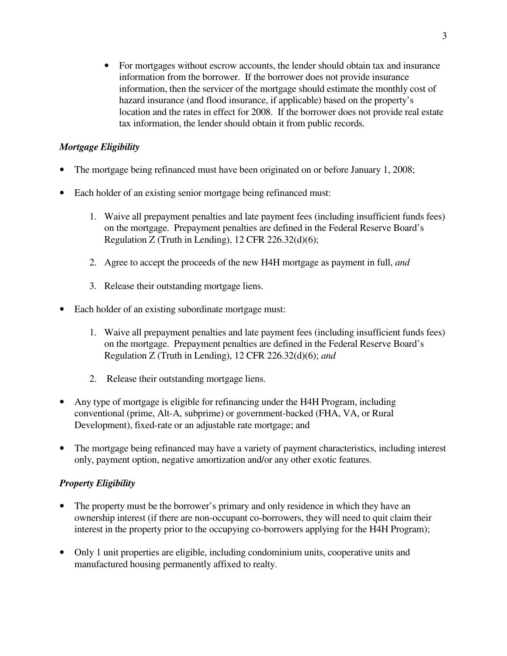• For mortgages without escrow accounts, the lender should obtain tax and insurance information from the borrower. If the borrower does not provide insurance information, then the servicer of the mortgage should estimate the monthly cost of hazard insurance (and flood insurance, if applicable) based on the property's location and the rates in effect for 2008. If the borrower does not provide real estate tax information, the lender should obtain it from public records.

# *Mortgage Eligibility*

- The mortgage being refinanced must have been originated on or before January 1, 2008;
- Each holder of an existing senior mortgage being refinanced must:
	- 1. Waive all prepayment penalties and late payment fees (including insufficient funds fees) on the mortgage. Prepayment penalties are defined in the Federal Reserve Board's Regulation Z (Truth in Lending), 12 CFR 226.32(d)(6);
	- 2. Agree to accept the proceeds of the new H4H mortgage as payment in full, *and*
	- 3. Release their outstanding mortgage liens.
- Each holder of an existing subordinate mortgage must:
	- 1. Waive all prepayment penalties and late payment fees (including insufficient funds fees) on the mortgage. Prepayment penalties are defined in the Federal Reserve Board's Regulation Z (Truth in Lending), 12 CFR 226.32(d)(6); *and*
	- 2. Release their outstanding mortgage liens.
- Any type of mortgage is eligible for refinancing under the H4H Program, including conventional (prime, Alt-A, subprime) or government-backed (FHA, VA, or Rural Development), fixed-rate or an adjustable rate mortgage; and
- The mortgage being refinanced may have a variety of payment characteristics, including interest only, payment option, negative amortization and/or any other exotic features.

# *Property Eligibility*

- The property must be the borrower's primary and only residence in which they have an ownership interest (if there are non-occupant co-borrowers, they will need to quit claim their interest in the property prior to the occupying co-borrowers applying for the H4H Program);
- Only 1 unit properties are eligible, including condominium units, cooperative units and manufactured housing permanently affixed to realty.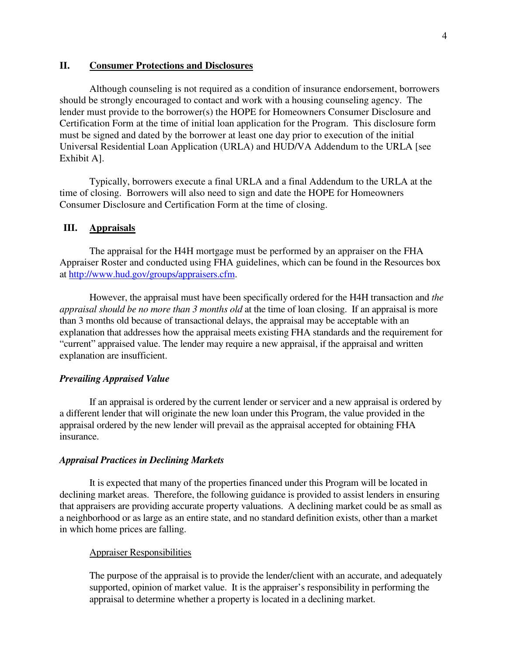## **II. Consumer Protections and Disclosures**

Although counseling is not required as a condition of insurance endorsement, borrowers should be strongly encouraged to contact and work with a housing counseling agency. The lender must provide to the borrower(s) the HOPE for Homeowners Consumer Disclosure and Certification Form at the time of initial loan application for the Program. This disclosure form must be signed and dated by the borrower at least one day prior to execution of the initial Universal Residential Loan Application (URLA) and HUD/VA Addendum to the URLA [see Exhibit A].

Typically, borrowers execute a final URLA and a final Addendum to the URLA at the time of closing. Borrowers will also need to sign and date the HOPE for Homeowners Consumer Disclosure and Certification Form at the time of closing.

#### **III. Appraisals**

The appraisal for the H4H mortgage must be performed by an appraiser on the FHA Appraiser Roster and conducted using FHA guidelines, which can be found in the Resources box at http://www.hud.gov/groups/appraisers.cfm.

However, the appraisal must have been specifically ordered for the H4H transaction and *the appraisal should be no more than 3 months old* at the time of loan closing. If an appraisal is more than 3 months old because of transactional delays, the appraisal may be acceptable with an explanation that addresses how the appraisal meets existing FHA standards and the requirement for "current" appraised value. The lender may require a new appraisal, if the appraisal and written explanation are insufficient.

#### *Prevailing Appraised Value*

If an appraisal is ordered by the current lender or servicer and a new appraisal is ordered by a different lender that will originate the new loan under this Program, the value provided in the appraisal ordered by the new lender will prevail as the appraisal accepted for obtaining FHA insurance.

#### *Appraisal Practices in Declining Markets*

 It is expected that many of the properties financed under this Program will be located in declining market areas. Therefore, the following guidance is provided to assist lenders in ensuring that appraisers are providing accurate property valuations. A declining market could be as small as a neighborhood or as large as an entire state, and no standard definition exists, other than a market in which home prices are falling.

#### Appraiser Responsibilities

The purpose of the appraisal is to provide the lender/client with an accurate, and adequately supported, opinion of market value. It is the appraiser's responsibility in performing the appraisal to determine whether a property is located in a declining market.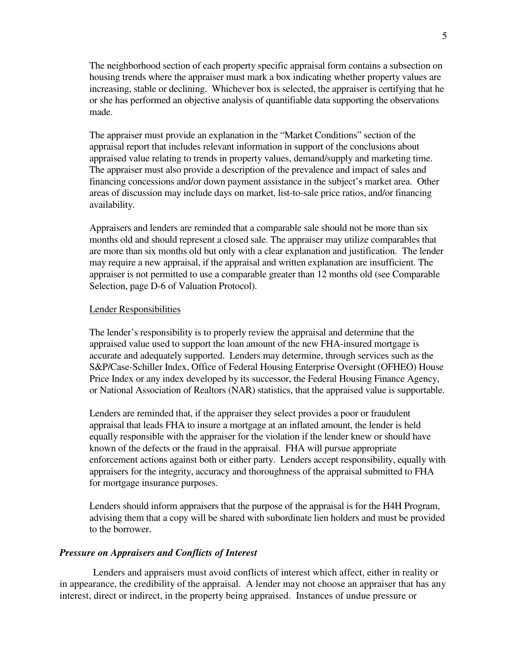The neighborhood section of each property specific appraisal form contains a subsection on housing trends where the appraiser must mark a box indicating whether property values are increasing, stable or declining. Whichever box is selected, the appraiser is certifying that he or she has performed an objective analysis of quantifiable data supporting the observations made.

The appraiser must provide an explanation in the "Market Conditions" section of the appraisal report that includes relevant information in support of the conclusions about appraised value relating to trends in property values, demand/supply and marketing time. The appraiser must also provide a description of the prevalence and impact of sales and financing concessions and/or down payment assistance in the subject's market area. Other areas of discussion may include days on market, list-to-sale price ratios, and/or financing availability.

Appraisers and lenders are reminded that a comparable sale should not be more than six months old and should represent a closed sale. The appraiser may utilize comparables that are more than six months old but only with a clear explanation and justification. The lender may require a new appraisal, if the appraisal and written explanation are insufficient. The appraiser is not permitted to use a comparable greater than 12 months old (see Comparable Selection, page D-6 of Valuation Protocol).

#### Lender Responsibilities

The lender's responsibility is to properly review the appraisal and determine that the appraised value used to support the loan amount of the new FHA-insured mortgage is accurate and adequately supported. Lenders may determine, through services such as the S&P/Case-Schiller Index, Office of Federal Housing Enterprise Oversight (OFHEO) House Price Index or any index developed by its successor, the Federal Housing Finance Agency, or National Association of Realtors (NAR) statistics, that the appraised value is supportable.

Lenders are reminded that, if the appraiser they select provides a poor or fraudulent appraisal that leads FHA to insure a mortgage at an inflated amount, the lender is held equally responsible with the appraiser for the violation if the lender knew or should have known of the defects or the fraud in the appraisal. FHA will pursue appropriate enforcement actions against both or either party. Lenders accept responsibility, equally with appraisers for the integrity, accuracy and thoroughness of the appraisal submitted to FHA for mortgage insurance purposes.

Lenders should inform appraisers that the purpose of the appraisal is for the H4H Program, advising them that a copy will be shared with subordinate lien holders and must be provided to the borrower.

#### *Pressure on Appraisers and Conflicts of Interest*

 Lenders and appraisers must avoid conflicts of interest which affect, either in reality or in appearance, the credibility of the appraisal. A lender may not choose an appraiser that has any interest, direct or indirect, in the property being appraised. Instances of undue pressure or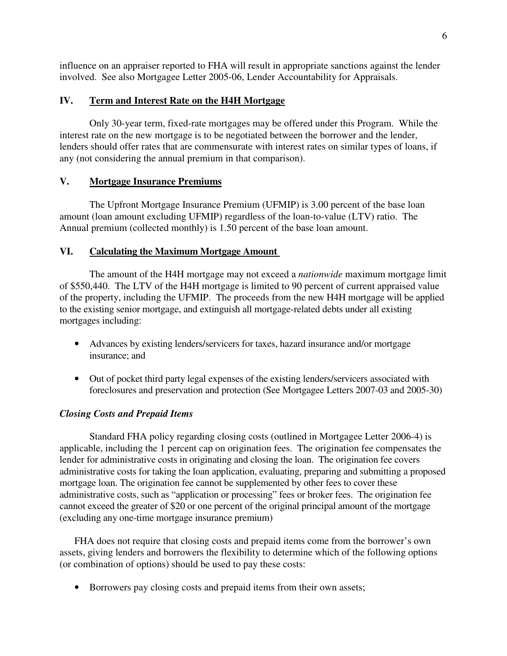influence on an appraiser reported to FHA will result in appropriate sanctions against the lender involved. See also Mortgagee Letter 2005-06, Lender Accountability for Appraisals.

## **IV. Term and Interest Rate on the H4H Mortgage**

Only 30-year term, fixed-rate mortgages may be offered under this Program. While the interest rate on the new mortgage is to be negotiated between the borrower and the lender, lenders should offer rates that are commensurate with interest rates on similar types of loans, if any (not considering the annual premium in that comparison).

## **V. Mortgage Insurance Premiums**

The Upfront Mortgage Insurance Premium (UFMIP) is 3.00 percent of the base loan amount (loan amount excluding UFMIP) regardless of the loan-to-value (LTV) ratio. The Annual premium (collected monthly) is 1.50 percent of the base loan amount.

## **VI. Calculating the Maximum Mortgage Amount**

The amount of the H4H mortgage may not exceed a *nationwide* maximum mortgage limit of \$550,440. The LTV of the H4H mortgage is limited to 90 percent of current appraised value of the property, including the UFMIP. The proceeds from the new H4H mortgage will be applied to the existing senior mortgage, and extinguish all mortgage-related debts under all existing mortgages including:

- Advances by existing lenders/servicers for taxes, hazard insurance and/or mortgage insurance; and
- Out of pocket third party legal expenses of the existing lenders/servicers associated with foreclosures and preservation and protection (See Mortgagee Letters 2007-03 and 2005-30)

## *Closing Costs and Prepaid Items*

 Standard FHA policy regarding closing costs (outlined in Mortgagee Letter 2006-4) is applicable, including the 1 percent cap on origination fees. The origination fee compensates the lender for administrative costs in originating and closing the loan. The origination fee covers administrative costs for taking the loan application, evaluating, preparing and submitting a proposed mortgage loan. The origination fee cannot be supplemented by other fees to cover these administrative costs, such as "application or processing" fees or broker fees. The origination fee cannot exceed the greater of \$20 or one percent of the original principal amount of the mortgage (excluding any one-time mortgage insurance premium)

FHA does not require that closing costs and prepaid items come from the borrower's own assets, giving lenders and borrowers the flexibility to determine which of the following options (or combination of options) should be used to pay these costs:

• Borrowers pay closing costs and prepaid items from their own assets;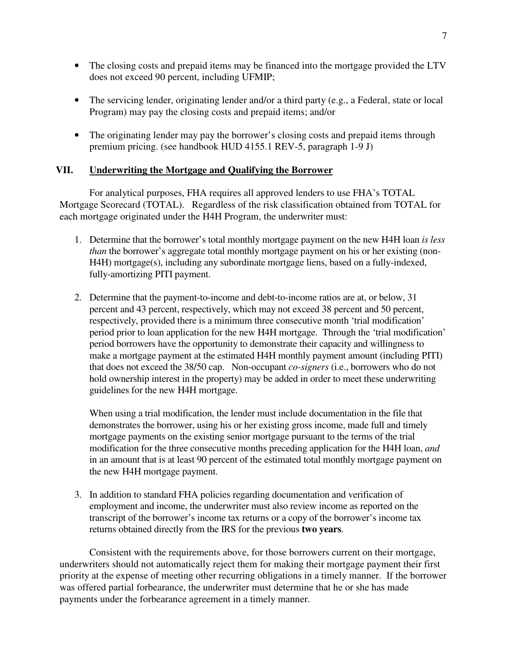- The closing costs and prepaid items may be financed into the mortgage provided the LTV does not exceed 90 percent, including UFMIP;
- The servicing lender, originating lender and/or a third party (e.g., a Federal, state or local Program) may pay the closing costs and prepaid items; and/or
- The originating lender may pay the borrower's closing costs and prepaid items through premium pricing. (see handbook HUD 4155.1 REV-5, paragraph 1-9 J)

## **VII. Underwriting the Mortgage and Qualifying the Borrower**

For analytical purposes, FHA requires all approved lenders to use FHA's TOTAL Mortgage Scorecard (TOTAL). Regardless of the risk classification obtained from TOTAL for each mortgage originated under the H4H Program, the underwriter must:

- 1. Determine that the borrower's total monthly mortgage payment on the new H4H loan *is less than* the borrower's aggregate total monthly mortgage payment on his or her existing (non-H4H) mortgage(s), including any subordinate mortgage liens, based on a fully-indexed, fully-amortizing PITI payment.
- 2. Determine that the payment-to-income and debt-to-income ratios are at, or below, 31 percent and 43 percent, respectively, which may not exceed 38 percent and 50 percent, respectively, provided there is a minimum three consecutive month 'trial modification' period prior to loan application for the new H4H mortgage. Through the 'trial modification' period borrowers have the opportunity to demonstrate their capacity and willingness to make a mortgage payment at the estimated H4H monthly payment amount (including PITI) that does not exceed the 38/50 cap. Non-occupant *co-signers* (i.e., borrowers who do not hold ownership interest in the property) may be added in order to meet these underwriting guidelines for the new H4H mortgage.

When using a trial modification, the lender must include documentation in the file that demonstrates the borrower, using his or her existing gross income, made full and timely mortgage payments on the existing senior mortgage pursuant to the terms of the trial modification for the three consecutive months preceding application for the H4H loan, *and* in an amount that is at least 90 percent of the estimated total monthly mortgage payment on the new H4H mortgage payment.

3. In addition to standard FHA policies regarding documentation and verification of employment and income, the underwriter must also review income as reported on the transcript of the borrower's income tax returns or a copy of the borrower's income tax returns obtained directly from the IRS for the previous **two years**.

Consistent with the requirements above, for those borrowers current on their mortgage, underwriters should not automatically reject them for making their mortgage payment their first priority at the expense of meeting other recurring obligations in a timely manner. If the borrower was offered partial forbearance, the underwriter must determine that he or she has made payments under the forbearance agreement in a timely manner.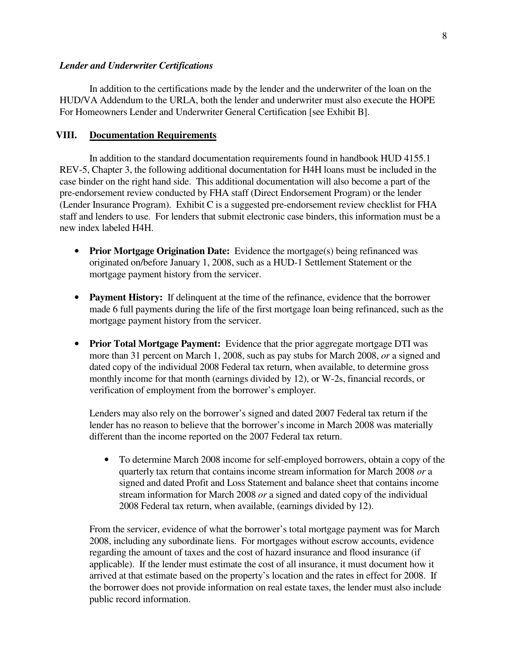#### *Lender and Underwriter Certifications*

In addition to the certifications made by the lender and the underwriter of the loan on the HUD/VA Addendum to the URLA, both the lender and underwriter must also execute the HOPE For Homeowners Lender and Underwriter General Certification [see Exhibit B].

## **VIII. Documentation Requirements**

 In addition to the standard documentation requirements found in handbook HUD 4155.1 REV-5, Chapter 3, the following additional documentation for H4H loans must be included in the case binder on the right hand side. This additional documentation will also become a part of the pre-endorsement review conducted by FHA staff (Direct Endorsement Program) or the lender (Lender Insurance Program). Exhibit C is a suggested pre-endorsement review checklist for FHA staff and lenders to use. For lenders that submit electronic case binders, this information must be a new index labeled H4H.

- **Prior Mortgage Origination Date:** Evidence the mortgage(s) being refinanced was originated on/before January 1, 2008, such as a HUD-1 Settlement Statement or the mortgage payment history from the servicer.
- **Payment History:** If delinquent at the time of the refinance, evidence that the borrower made 6 full payments during the life of the first mortgage loan being refinanced, such as the mortgage payment history from the servicer.
- **Prior Total Mortgage Payment:** Evidence that the prior aggregate mortgage DTI was more than 31 percent on March 1, 2008, such as pay stubs for March 2008, *or* a signed and dated copy of the individual 2008 Federal tax return, when available, to determine gross monthly income for that month (earnings divided by 12), or W-2s, financial records, or verification of employment from the borrower's employer.

Lenders may also rely on the borrower's signed and dated 2007 Federal tax return if the lender has no reason to believe that the borrower's income in March 2008 was materially different than the income reported on the 2007 Federal tax return.

• To determine March 2008 income for self-employed borrowers, obtain a copy of the quarterly tax return that contains income stream information for March 2008 *or* a signed and dated Profit and Loss Statement and balance sheet that contains income stream information for March 2008 *or* a signed and dated copy of the individual 2008 Federal tax return, when available, (earnings divided by 12).

From the servicer, evidence of what the borrower's total mortgage payment was for March 2008, including any subordinate liens. For mortgages without escrow accounts, evidence regarding the amount of taxes and the cost of hazard insurance and flood insurance (if applicable). If the lender must estimate the cost of all insurance, it must document how it arrived at that estimate based on the property's location and the rates in effect for 2008. If the borrower does not provide information on real estate taxes, the lender must also include public record information.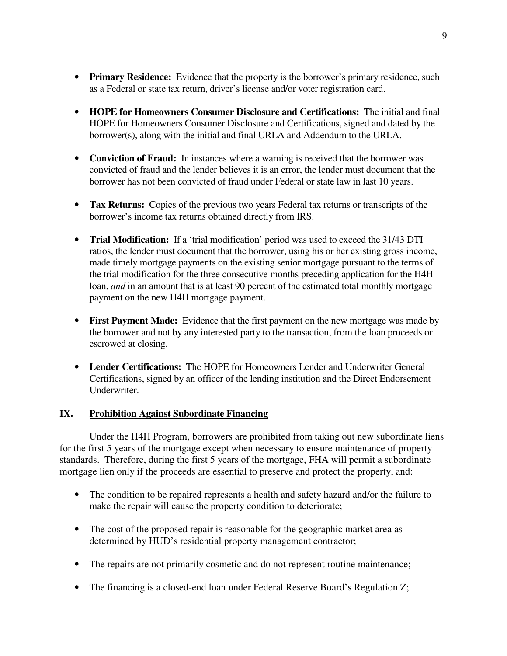- **Primary Residence:** Evidence that the property is the borrower's primary residence, such as a Federal or state tax return, driver's license and/or voter registration card.
- **HOPE for Homeowners Consumer Disclosure and Certifications:** The initial and final HOPE for Homeowners Consumer Disclosure and Certifications, signed and dated by the borrower(s), along with the initial and final URLA and Addendum to the URLA.
- **Conviction of Fraud:** In instances where a warning is received that the borrower was convicted of fraud and the lender believes it is an error, the lender must document that the borrower has not been convicted of fraud under Federal or state law in last 10 years.
- **Tax Returns:** Copies of the previous two years Federal tax returns or transcripts of the borrower's income tax returns obtained directly from IRS.
- **Trial Modification:** If a 'trial modification' period was used to exceed the 31/43 DTI ratios, the lender must document that the borrower, using his or her existing gross income, made timely mortgage payments on the existing senior mortgage pursuant to the terms of the trial modification for the three consecutive months preceding application for the H4H loan, *and* in an amount that is at least 90 percent of the estimated total monthly mortgage payment on the new H4H mortgage payment.
- **First Payment Made:** Evidence that the first payment on the new mortgage was made by the borrower and not by any interested party to the transaction, from the loan proceeds or escrowed at closing.
- **Lender Certifications:** The HOPE for Homeowners Lender and Underwriter General Certifications, signed by an officer of the lending institution and the Direct Endorsement Underwriter.

# **IX. Prohibition Against Subordinate Financing**

Under the H4H Program, borrowers are prohibited from taking out new subordinate liens for the first 5 years of the mortgage except when necessary to ensure maintenance of property standards. Therefore, during the first 5 years of the mortgage, FHA will permit a subordinate mortgage lien only if the proceeds are essential to preserve and protect the property, and:

- The condition to be repaired represents a health and safety hazard and/or the failure to make the repair will cause the property condition to deteriorate;
- The cost of the proposed repair is reasonable for the geographic market area as determined by HUD's residential property management contractor;
- The repairs are not primarily cosmetic and do not represent routine maintenance;
- The financing is a closed-end loan under Federal Reserve Board's Regulation Z;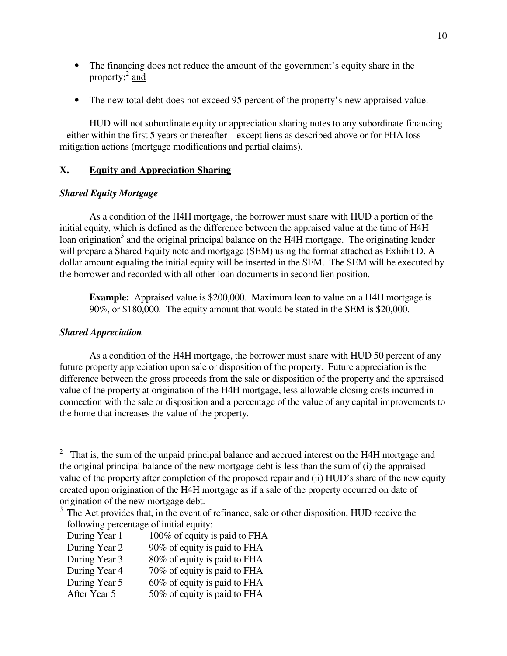- The financing does not reduce the amount of the government's equity share in the property;<sup>2</sup> and
- The new total debt does not exceed 95 percent of the property's new appraised value.

HUD will not subordinate equity or appreciation sharing notes to any subordinate financing – either within the first 5 years or thereafter – except liens as described above or for FHA loss mitigation actions (mortgage modifications and partial claims).

## **X. Equity and Appreciation Sharing**

#### *Shared Equity Mortgage*

 As a condition of the H4H mortgage, the borrower must share with HUD a portion of the initial equity, which is defined as the difference between the appraised value at the time of H4H loan origination<sup>3</sup> and the original principal balance on the H4H mortgage. The originating lender will prepare a Shared Equity note and mortgage (SEM) using the format attached as Exhibit D. A dollar amount equaling the initial equity will be inserted in the SEM. The SEM will be executed by the borrower and recorded with all other loan documents in second lien position.

**Example:** Appraised value is \$200,000. Maximum loan to value on a H4H mortgage is 90%, or \$180,000. The equity amount that would be stated in the SEM is \$20,000.

## *Shared Appreciation*

 $\overline{a}$ 

As a condition of the H4H mortgage, the borrower must share with HUD 50 percent of any future property appreciation upon sale or disposition of the property. Future appreciation is the difference between the gross proceeds from the sale or disposition of the property and the appraised value of the property at origination of the H4H mortgage, less allowable closing costs incurred in connection with the sale or disposition and a percentage of the value of any capital improvements to the home that increases the value of the property.

- During Year 1 100% of equity is paid to FHA
- During Year 2 90% of equity is paid to FHA
- During Year 3 80% of equity is paid to FHA
- During Year 4 70% of equity is paid to FHA
- During Year 5 60% of equity is paid to FHA
- After Year 5 50% of equity is paid to FHA

 $2$  That is, the sum of the unpaid principal balance and accrued interest on the H4H mortgage and the original principal balance of the new mortgage debt is less than the sum of (i) the appraised value of the property after completion of the proposed repair and (ii) HUD's share of the new equity created upon origination of the H4H mortgage as if a sale of the property occurred on date of origination of the new mortgage debt.

<sup>&</sup>lt;sup>3</sup> The Act provides that, in the event of refinance, sale or other disposition, HUD receive the following percentage of initial equity: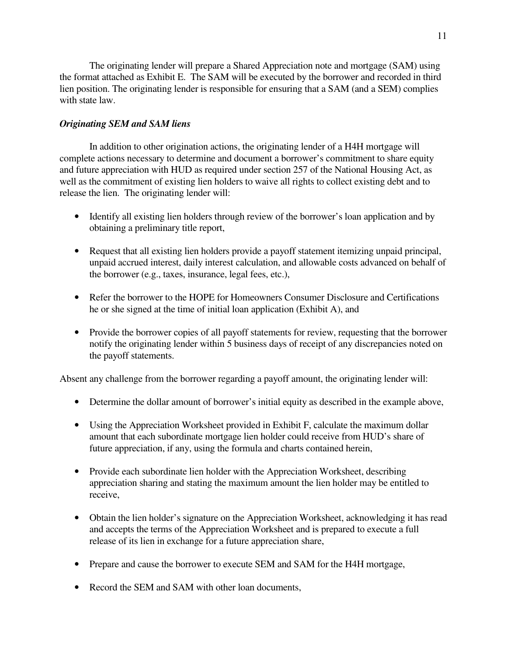The originating lender will prepare a Shared Appreciation note and mortgage (SAM) using the format attached as Exhibit E. The SAM will be executed by the borrower and recorded in third lien position. The originating lender is responsible for ensuring that a SAM (and a SEM) complies with state law.

## *Originating SEM and SAM liens*

 In addition to other origination actions, the originating lender of a H4H mortgage will complete actions necessary to determine and document a borrower's commitment to share equity and future appreciation with HUD as required under section 257 of the National Housing Act, as well as the commitment of existing lien holders to waive all rights to collect existing debt and to release the lien. The originating lender will:

- Identify all existing lien holders through review of the borrower's loan application and by obtaining a preliminary title report,
- Request that all existing lien holders provide a payoff statement itemizing unpaid principal, unpaid accrued interest, daily interest calculation, and allowable costs advanced on behalf of the borrower (e.g., taxes, insurance, legal fees, etc.),
- Refer the borrower to the HOPE for Homeowners Consumer Disclosure and Certifications he or she signed at the time of initial loan application (Exhibit A), and
- Provide the borrower copies of all payoff statements for review, requesting that the borrower notify the originating lender within 5 business days of receipt of any discrepancies noted on the payoff statements.

Absent any challenge from the borrower regarding a payoff amount, the originating lender will:

- Determine the dollar amount of borrower's initial equity as described in the example above,
- Using the Appreciation Worksheet provided in Exhibit F, calculate the maximum dollar amount that each subordinate mortgage lien holder could receive from HUD's share of future appreciation, if any, using the formula and charts contained herein,
- Provide each subordinate lien holder with the Appreciation Worksheet, describing appreciation sharing and stating the maximum amount the lien holder may be entitled to receive,
- Obtain the lien holder's signature on the Appreciation Worksheet, acknowledging it has read and accepts the terms of the Appreciation Worksheet and is prepared to execute a full release of its lien in exchange for a future appreciation share,
- Prepare and cause the borrower to execute SEM and SAM for the H4H mortgage,
- Record the SEM and SAM with other loan documents,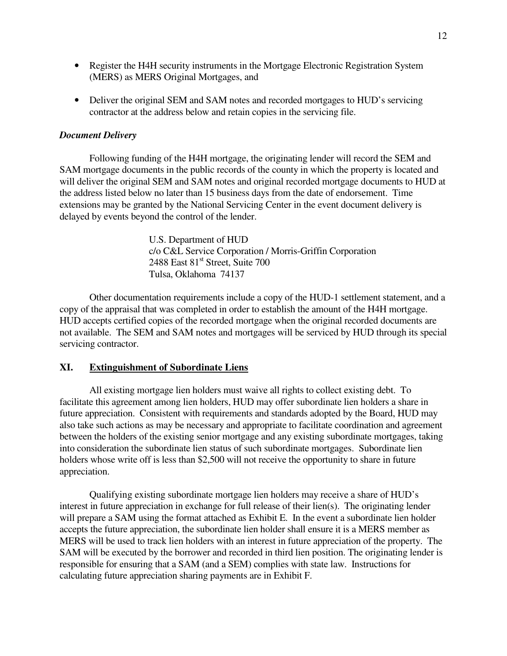- Register the H4H security instruments in the Mortgage Electronic Registration System (MERS) as MERS Original Mortgages, and
- Deliver the original SEM and SAM notes and recorded mortgages to HUD's servicing contractor at the address below and retain copies in the servicing file.

## *Document Delivery*

Following funding of the H4H mortgage, the originating lender will record the SEM and SAM mortgage documents in the public records of the county in which the property is located and will deliver the original SEM and SAM notes and original recorded mortgage documents to HUD at the address listed below no later than 15 business days from the date of endorsement. Time extensions may be granted by the National Servicing Center in the event document delivery is delayed by events beyond the control of the lender.

> U.S. Department of HUD c/o C&L Service Corporation / Morris-Griffin Corporation 2488 East  $81<sup>st</sup>$  Street, Suite 700 Tulsa, Oklahoma 74137

Other documentation requirements include a copy of the HUD-1 settlement statement, and a copy of the appraisal that was completed in order to establish the amount of the H4H mortgage. HUD accepts certified copies of the recorded mortgage when the original recorded documents are not available. The SEM and SAM notes and mortgages will be serviced by HUD through its special servicing contractor.

## **XI. Extinguishment of Subordinate Liens**

All existing mortgage lien holders must waive all rights to collect existing debt. To facilitate this agreement among lien holders, HUD may offer subordinate lien holders a share in future appreciation. Consistent with requirements and standards adopted by the Board, HUD may also take such actions as may be necessary and appropriate to facilitate coordination and agreement between the holders of the existing senior mortgage and any existing subordinate mortgages, taking into consideration the subordinate lien status of such subordinate mortgages. Subordinate lien holders whose write off is less than \$2,500 will not receive the opportunity to share in future appreciation.

Qualifying existing subordinate mortgage lien holders may receive a share of HUD's interest in future appreciation in exchange for full release of their lien(s). The originating lender will prepare a SAM using the format attached as Exhibit E. In the event a subordinate lien holder accepts the future appreciation, the subordinate lien holder shall ensure it is a MERS member as MERS will be used to track lien holders with an interest in future appreciation of the property. The SAM will be executed by the borrower and recorded in third lien position. The originating lender is responsible for ensuring that a SAM (and a SEM) complies with state law. Instructions for calculating future appreciation sharing payments are in Exhibit F.